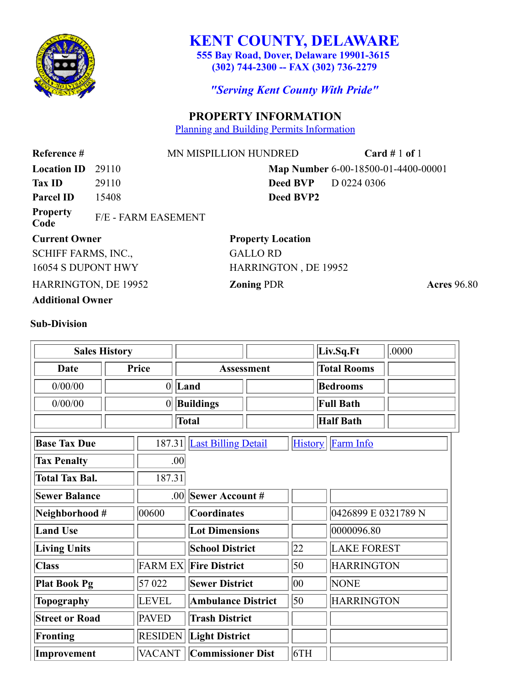

# **KENT COUNTY, DELAWARE**

**555 Bay Road, Dover, Delaware 19901-3615 (302) 744-2300 -- FAX (302) 736-2279**

*"Serving Kent County With Pride"*

## **PROPERTY INFORMATION**

[Planning and Building Permits Information](http://kent400.co.kent.de.us/cgi-bin/web003cl?MAPPIN=6-00-18500-01-4400-00001)

**Reference #** MN MISPILLION HUNDRED **Card #** 1 **of** 1 **Location ID** 29110 **Map Number** 6-00-18500-01-4400-00001 **Tax ID** 29110 **Deed BVP** D 0224 0306 **Parcel ID** 15408 **Deed BVP2 Property Code** F/E - FARM EASEMENT **Current Owner Property Location** SCHIFF FARMS, INC., GALLO RD 16054 S DUPONT HWY HARRINGTON, DE 19952 HARRINGTON, DE 19952 **Zoning** PDR **Acres** 96.80

**Additional Owner**

#### **Sub-Division**

| <b>Sales History</b>  |               |                  |                            |  |                | Liv.Sq.Ft          | .0000               |  |
|-----------------------|---------------|------------------|----------------------------|--|----------------|--------------------|---------------------|--|
| Date                  | Price         |                  | <b>Assessment</b>          |  |                | <b>Total Rooms</b> |                     |  |
| 0/00/00               |               | 0                | Land                       |  |                | <b>Bedrooms</b>    |                     |  |
| 0/00/00               |               | 0                | <b>Buildings</b>           |  |                | <b>Full Bath</b>   |                     |  |
|                       |               | <b>Total</b>     |                            |  |                | <b>Half Bath</b>   |                     |  |
| <b>Base Tax Due</b>   |               | 187.31           | <b>Last Billing Detail</b> |  | <b>History</b> | <b>Farm Info</b>   |                     |  |
| <b>Tax Penalty</b>    |               | .00              |                            |  |                |                    |                     |  |
| <b>Total Tax Bal.</b> |               | 187.31           |                            |  |                |                    |                     |  |
| <b>Sewer Balance</b>  |               | .00 <sub>l</sub> | <b>Sewer Account #</b>     |  |                |                    |                     |  |
| Neighborhood #        | 00600         |                  | <b>Coordinates</b>         |  |                |                    | 0426899 E 0321789 N |  |
| <b>Land Use</b>       |               |                  | <b>Lot Dimensions</b>      |  |                | 0000096.80         |                     |  |
| Living Units          |               |                  | <b>School District</b>     |  | 22             | <b>LAKE FOREST</b> |                     |  |
| <b>Class</b>          |               | <b>FARM EX</b>   | <b>Fire District</b>       |  | 50             | <b>HARRINGTON</b>  |                     |  |
| <b>Plat Book Pg</b>   | 57 022        |                  | <b>Sewer District</b>      |  | $ 00\rangle$   | <b>NONE</b>        |                     |  |
| Topography            | <b>LEVEL</b>  |                  | <b>Ambulance District</b>  |  | 50             | <b>HARRINGTON</b>  |                     |  |
| <b>Street or Road</b> | <b>PAVED</b>  |                  | <b>Trash District</b>      |  |                |                    |                     |  |
| <b>Fronting</b>       |               | <b>RESIDEN</b>   | <b>Light District</b>      |  |                |                    |                     |  |
| Improvement           | <b>VACANT</b> |                  | <b>Commissioner Dist</b>   |  | 6TH            |                    |                     |  |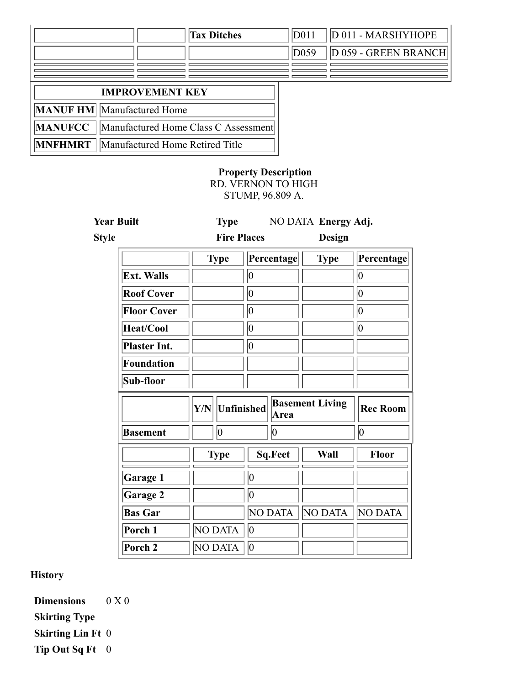|                                                   |                                      | <b>Tax Ditches</b> | D <sub>011</sub> | D 011 - MARSHYHOPE   |
|---------------------------------------------------|--------------------------------------|--------------------|------------------|----------------------|
|                                                   |                                      |                    | D059             | D 059 - GREEN BRANCH |
|                                                   |                                      |                    |                  |                      |
| <b>IMPROVEMENT KEY</b>                            |                                      |                    |                  |                      |
| <b>MANUF HM</b> Manufactured Home                 |                                      |                    |                  |                      |
| <b>MANUFCC</b>                                    | Manufactured Home Class C Assessment |                    |                  |                      |
| <b>MNFHMRT</b><br>Manufactured Home Retired Title |                                      |                    |                  |                      |

## **Property Description**

RD. VERNON TO HIGH STUMP, 96.809 A.

| <b>Year Built</b>   | <b>Type</b>        |                                              | NO DATA Energy Adj. |              |  |
|---------------------|--------------------|----------------------------------------------|---------------------|--------------|--|
| <b>Style</b>        | <b>Fire Places</b> |                                              | <b>Design</b>       |              |  |
|                     | <b>Type</b>        | Percentage                                   | <b>Type</b>         | Percentage   |  |
| <b>Ext. Walls</b>   |                    | 10                                           |                     | $ 0\rangle$  |  |
| <b>Roof Cover</b>   |                    | $ 0\rangle$                                  |                     | 10           |  |
| <b>Floor Cover</b>  |                    | 10                                           |                     | 10           |  |
| Heat/Cool           |                    | 10                                           |                     | 10           |  |
| <b>Plaster Int.</b> |                    | 10                                           |                     |              |  |
| <b>Foundation</b>   |                    |                                              |                     |              |  |
| Sub-floor           |                    |                                              |                     |              |  |
|                     | Y/N                | <b>Basement Living</b><br>Unfinished<br>Area |                     |              |  |
| <b>Basement</b>     | 0                  | 10                                           |                     | 0            |  |
|                     | <b>Type</b>        | <b>Sq.Feet</b>                               | Wall                | <b>Floor</b> |  |
| Garage 1            |                    | $\overline{0}$                               |                     |              |  |
| Garage 2            |                    | $\overline{0}$                               |                     |              |  |
| <b>Bas Gar</b>      |                    | <b>NO DATA</b>                               | NO DATA             | NO DATA      |  |
| Porch 1             | NO DATA            | 0                                            |                     |              |  |
| Porch 2             | NO DATA            | 10                                           |                     |              |  |

**History**

**Dimensions** 0 X 0 **Skirting Type Skirting Lin Ft** 0 **Tip Out Sq Ft** 0